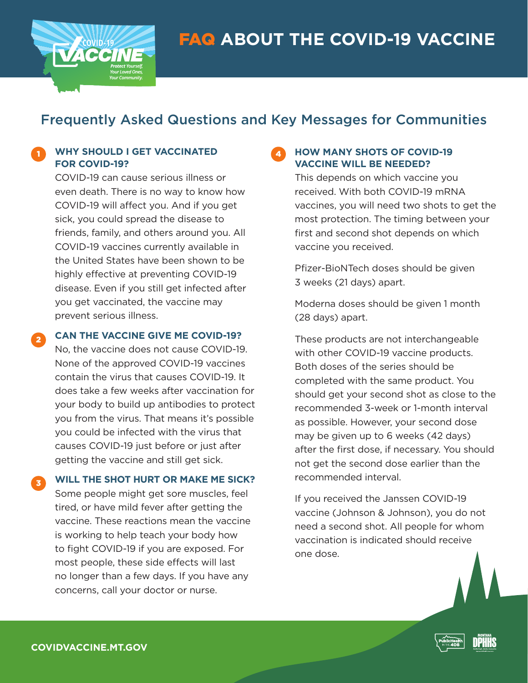

# **ACCINE**

## Frequently Asked Questions and Key Messages for Communities

#### **T** WHY SHOULD I GET VACCINATED **1 FOR COVID-19?**

COVID-19 can cause serious illness or even death. There is no way to know how COVID-19 will affect you. And if you get sick, you could spread the disease to friends, family, and others around you. All COVID-19 vaccines currently available in the United States have been shown to be highly effective at preventing COVID-19 disease. Even if you still get infected after you get vaccinated, the vaccine may prevent serious illness.

**CAN THE VACCINE GIVE ME COVID-19?**

2

3

No, the vaccine does not cause COVID-19. None of the approved COVID-19 vaccines contain the virus that causes COVID-19. It does take a few weeks after vaccination for your body to build up antibodies to protect you from the virus. That means it's possible you could be infected with the virus that causes COVID-19 just before or just after getting the vaccine and still get sick.

**WILL THE SHOT HURT OR MAKE ME SICK?**

Some people might get sore muscles, feel tired, or have mild fever after getting the vaccine. These reactions mean the vaccine is working to help teach your body how to fight COVID-19 if you are exposed. For most people, these side effects will last no longer than a few days. If you have any concerns, call your doctor or nurse.

## **HOW MANY SHOTS OF COVID-19 VACCINE WILL BE NEEDED?**

This depends on which vaccine you received. With both COVID-19 mRNA vaccines, you will need two shots to get the most protection. The timing between your first and second shot depends on which vaccine you received.

Pfizer-BioNTech doses should be given 3 weeks (21 days) apart.

Moderna doses should be given 1 month (28 days) apart.

These products are not interchangeable with other COVID-19 vaccine products. Both doses of the series should be completed with the same product. You should get your second shot as close to the recommended 3-week or 1-month interval as possible. However, your second dose may be given up to 6 weeks (42 days) after the first dose, if necessary. You should not get the second dose earlier than the recommended interval.

If you received the Janssen COVID-19 vaccine (Johnson & Johnson), you do not need a second shot. All people for whom vaccination is indicated should receive one dose.